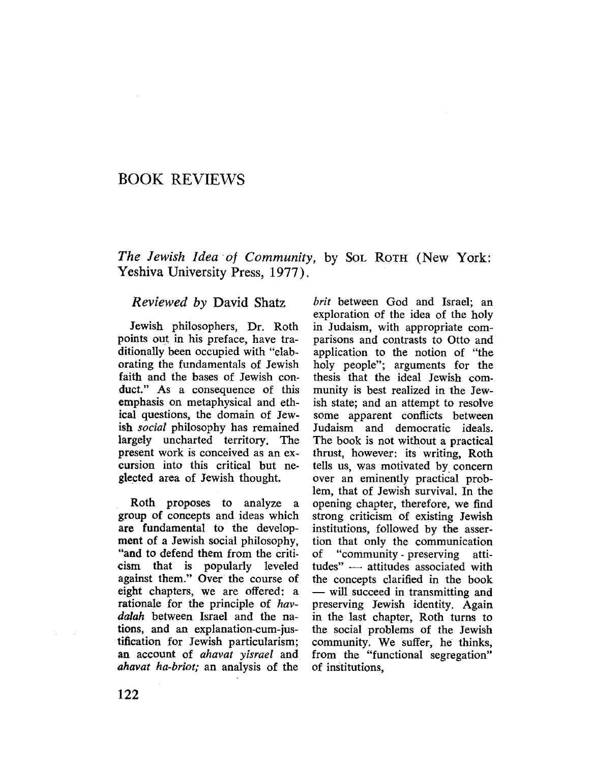# BOOK REVIEWS

The Jewish Idea of Community, by SOL ROTH (New York: Yeshiva University Press, 1977).

#### Reviewed by David Shatz

Jewish philosophers, Dr. Roth points out in his preface, have traditionally been occupied with "elaborating the fundamentals of Jewish faith and the bases of Jewish con. duct." As a consequence of this emphasis on metaphysical and ethical questions, the domain of Jewish social philosophy has remained largely uncharted territory. The present work is conceived as an excursion into this critical but neglected area of Jewish thought.

Roth proposes to analyze a group of concepts and ideas which are fundamental to the development of a Jewish social philosophy, "and to defend them from the criticism that is popularly leveled against them." Over the course of eight chapters, we are offered: a rationale for the principle of havdalah between Israel and the nations, and an explanation-cum-justification for Jewish particularism; an account of ahavat yisrael and ahavat ha-briot; an analysis of the

brit between God and Israel; an exploration of the idea of the holy in Judaism, with appropriate com~ parisons and contrasts to Otto and application to the notion of "the holy people"; arguments for the thesis that the ideal Jewish community is best realized in the Jewish state; and an attempt to resolve some apparent conflicts between Judaism and democratic ideals. The book is not without a practical thrust, however: its writing, Roth tells us, was motivated by. concern over an eminently practical problem, that of Jewish survival. In the opening chapter, therefore, we find strong criticism of existing Jewish institutions, followed by the assertion that only the communication of "community - preserving attitudes" - attitudes associated with the concepts clarified in the book - will succeed in transmitting and preserving Jewish identity. Again in the last chapter, Roth turns to the social problems of the Jewish community. We suffer, he thinks, from the "functional segregation" of institutions,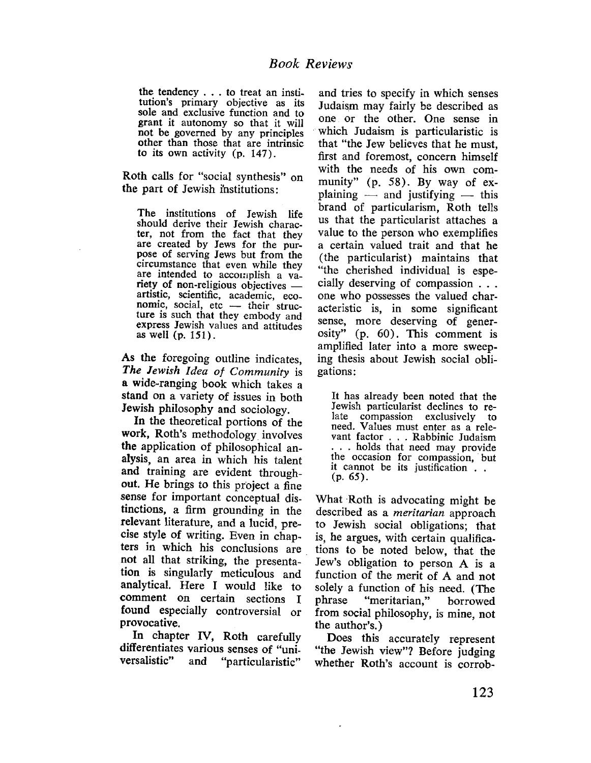the tendency . . . to treat an insti. tution's primary objective as its sole and exclusive function and to grant it autonomy so that it will not be governed by any principles other than those that are intrinsic to its own activity (p. 147).

Roth calls for "social synthesis" on the part of Jewish institutions:

The institutions of Jewish life should derive their Jewish character, not from the fact that they are created by Jews for the purpose of serving Jews but from the circumstance that even while they are intended to accomplish a variety of non-religious objectives artistic, scientific, academic, economic, social, etc  $-$  their structure is such that they embody and express Jewish values and attitudes as well  $(p. 151)$ .

As the foregoing outline indicates, The Jewish Idea of Community is a wide-ranging book which takes a stand on a variety of issues in both Jewish philosophy and sociology.

In the theoretical portions of the work, Roth's methodology involves the application of philosophical analysis, an area in which his talent and training are evident throughout. He brings to this project a fine sense for important conceptual distinctions, a firm grounding in the relevant literature, and a lucid, precise style of writing. Even in chapters in which his conclusions are not all that striking, the presentation is singularly meticulous and analyticaL. Here I would like to comment on certain sections I found especially controversial or provocative.

In chapter IV, Roth carefully diferentiates various senses of "universalistic" and "particularistic"

and tries to specify in which senses Judaism may fairly be described as one or the other. One sense in which Judaism is particularistic is that "the Jew believes that he must, first and foremost, concern himself with the needs of his own community" (p. 58). By way of explaining  $-$  and justifying  $-$  this brand of particularism, Roth tells us that the particularist attaches a value to the person who exemplifies a certain valued trait and that he (the particularist) maintains that "the cherished individual is especially deserving of compassion . . . one who possesses the valued characteristic is, in some significant sense, more deserving of generosity" (p. 60). This comment is amplified later into a more sweeping thesis about Jewish social obligations:

It has already been noted that the Jewish particularist declines to relate compassion exclusively to need. Values must enter as a relevant factor. . . Rabbinic Judaism . . . holds that need may provide the occasion for compassion, but it cannot be its justification . . (p. 65).

What 'Roth is advocating might be described as a meritarian approach to Jewish social obligations; that is, he argues, with certain qualifications to be noted below, that the Jew's obligation to person A is a function of the merit of A and not solely a function of his need. (The phrase "meritarian," borrowed from social philosophy, is mine, not the author's.)

Does this accurately represent "the Jewish view"? Before judging whether Roth's account is corrob-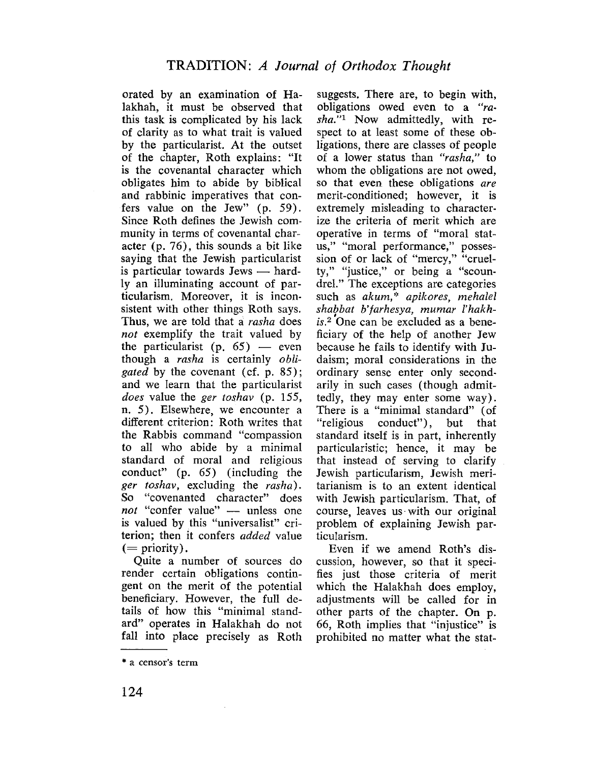orated by an examination of Halakhah, it must be observed that this task is complicated by his lack of clarity as to what trait is valued by the particularist. At the outset of the chapter, Roth explains: "It is the covenantal character which obligates him to abide by biblical and rabbinic imperatives that confers value on the Jew" (p. 59). Since Roth defines the Jewish community in terms of covenantal character (p. 76), this sounds a bit like saying that the Jewish particularist is particular towards Jews  $-$  hardly an iluminating account of particularism. Moreover, it is inconsistent with other things Roth says. Thus, we are told that a rasha does not exemplify the trait valued by the particularist (p.  $65$ ) - even though a rasha is certainly obli*gated* by the covenant (cf. p. 85); and we learn that the particularist does value the ger toshav (p. 155, n. 5). Elsewhere, we encounter a different criterion: Roth writes that the Rabbis command "compassion to all who abide by a minimal standard of moral and religious conduct" (p. 65) (including the ger toshav, excluding the rasha). So "covenanted character" does not "confer value" - unless one is valued by this "universalist" criterion; then it confers *added* value  $($  = priority).

Quite a number of sources do render certain obligations contingent on the merit of the potential beneficiary. However, the full details of how this "minimal standard" operates in Halakhah do not fall into place precisely as Roth

suggests. There are, to begin with, obligations owed even to a "rasha."<sup>1</sup> Now admittedly, with respect to at least some of these obligations, there are classes of people of a lower status than "rasha," to whom the obligations are not owed, so that even these obligations are merit-conditioned; however, it is extremely misleading to characterize the criteria of merit which are operative in terms of "moral status," "moral performance," possession of or lack of "mercy," "cruelty," "justice," or being a "scoundreL." The exceptions are categories such as akum,\* apikores, mehalel shabbat b'farhesya, mumar l'hakh $i s<sup>2</sup>$  One can be excluded as a beneficiary of the help of another Jew because he fails to identify with Judaism; moral considerations in the ordinary sense enter only secondarily in such cases (though admittedly, they may enter some way). There is a "minimal standard" (of "religious conduct"), but that standard itself is in part, inherently particularistic; hence, it may be that instead of serving to clarify Jewish particularism, Jewish meritarianism is to an extent identical with Jewish particularism. That, of course, leaves us' with our original problem of explaining Jewish particularism.

Even if we amend Roth's discussion, however, so that it specifies just those criteria of merit which the Halakhah does employ, adjustments wil be called for in other parts of the chapter. On p. 66, Roth implies that "injustice" is prohibited no matter what the stat-

<sup>\*</sup> a censor's term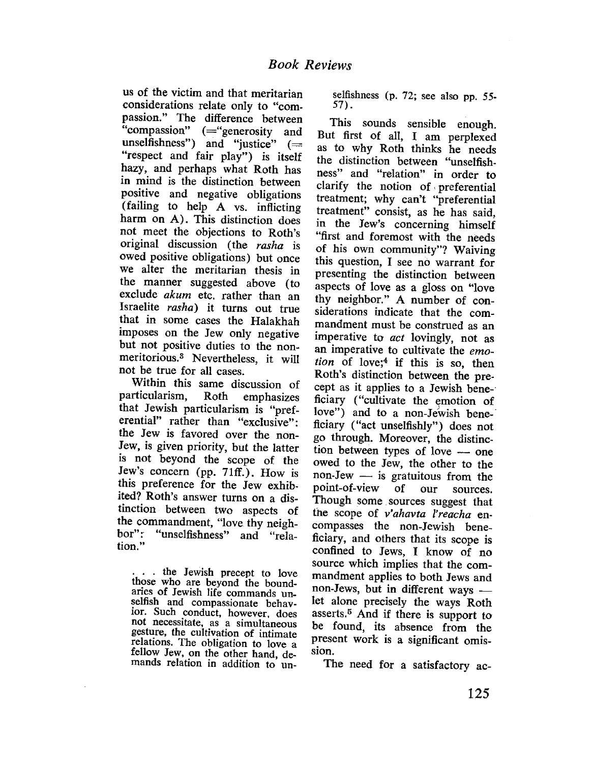us of the victim and that meritarian considerations relate only to "compassion." The difference between "compassion" (= "generosity and unselfishness") and "justice"  $($ = "respect and fair play") is itself hazy, and perhaps what Roth has in mind is the distinction between positive and negative obligations (failng to help A vs. inflicting harm on A). This distinction does not meet the objections to Roth's original discussion (the rasha is owed positive obligations) but once we alter the meritarian thesis in the manner suggested above (to exclude akum etc. rather than an Israelite rasha) it turns out true that in some cases the Halakhah imposes on the Jew only negative but not positive duties to the nonmeritorious.<sup>3</sup> Nevertheless, it will not be true for all cases.

Within this same discussion of particularism, Roth emphasizes that Jewish particularism is "preferential" rather than "exclusive": the Jew is favored over the non-Jew, is given priority, but the latter is not beyond the scope of the Jew's concern (pp. 71ff.). How is this preference for the Jew exhibited? Roth's answer turns on a distinction between two aspects of the commandment, "love thy neighbor": "unselfishness" and "relation."

. the Jewish precept to love those who are beyond the boundaries of Jewish life commands unselfish and compassionate behavior. Such conduct, however, does not necessitate, as a simultaneous gesture, the cultivation of intimate relations. The obligation to love a fellow Jew, on the other hand, demands relation in addition to unselfishness (p. 72; see also pp. 55- 57) .

This sounds sensible enough. But first of all, I am perplexed as to why Roth thinks he needs the distinction between "unselfishness" and "relation" in order to clarify the notion of preferential treatment; why can't "preferential treatment" consist, as he has said, in the Jew's concerning himself "first and foremost with the needs of his own community"? Waiving this question, I see nò warrant for presenting the distinction between aspects of love as a gloss on "love thy neighbor." A number of con~ siderations indicate that the commandment must be construed as an imperative to act lovingly, not as an imperative to cultivate the emotion of love; $4$  if this is so, then Roth's distinction between the precept as it applies to a Jewish bene-' ficiary ("cultivate the emotion of love") and to a non-Jewish beneficiary ("act unselfishly") does not go through. Moreover, the distinction between types of love - one owed to the Jew, the other to the non-Jew  $-$  is gratuitous from the point-of-view of our sources. Though some, sources suggest that the scope of v'ahavta l'reacha encompasses the non-Jewish beneficiary, and others that its scope is confined to Jews, I know of no source which implies that the commandment applies to both Jews and non-Jews, but in different ways let alone precisely the ways Roth asserts.5 And if there is support to be found, its absence from the present work is a significant omission.

The need for a satisfactory ac-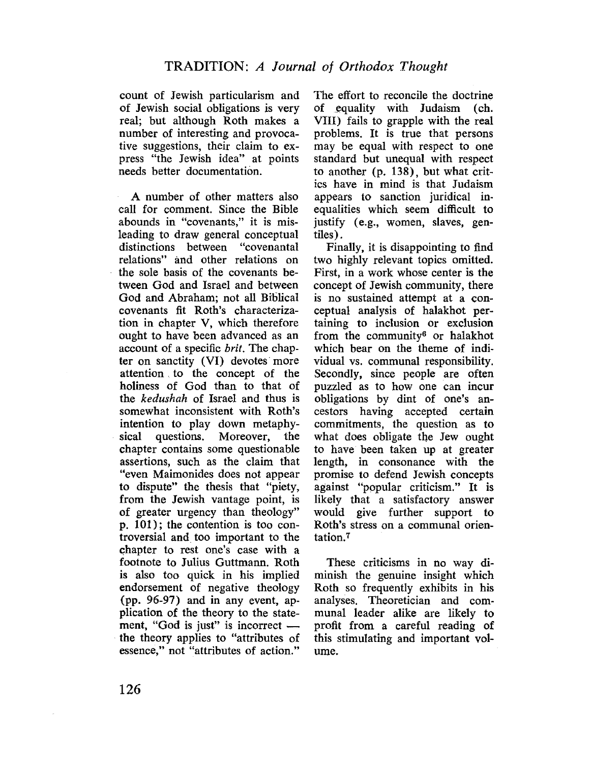count of Jewish particularism and of Jewish social obligations is very real; but although Roth makes a number of interesting and provocative suggestions, their claim to express "the Jewish idea" at points needs better documentation.

A number of other matters also call for comment. Since the Bible abounds in "covenants," it is misleading to draw general conceptual distinctions between "covenantal relations" ånd other relations on the sole basis of the covenants between God and Israel and between God and Abraham; not all Biblical covenants fit Roth's characterization in chapter V, which therefore ought to have been advanced as an account of a specific brit. The chapter on sanctity (VI) devotes' more attention to the concept of the holiness of God than to that of the kedushah of Israel and thus is somewhat inconsistent with Roth's intention to play down metaphy sical questions. Moreover, the chapter contains some questionable assertions, such as the claim that "even Maimonides does not appear to dispute" the thesis that "piety, from the Jewish vantage point, is of greater urgency than theology" p. 101); the contention is too controversial and too important to the çhapter to rest one's case with a footnote to Julius Guttmann. Roth is also too quick in his implied endorsement of negative theology (pp. 96-97) and in any event, application of the theory to the statement, "God is just" is incorrect  $$ the theory applies to "attributes of essence," not "attributes of action."

The effort to reconcile the doctrine of equality with Judaism (ch. VIII) fails to grapple with the real problems. It is true that persons may be equal with respect to one standard but unequal with respect to another (p. 138), but what critics have in mind is that Judaism appears to sanction juridical inequalities which seem diffcult to justify (e.g., women, slaves, gentiles) .

Finally, it is disappointing to find two highly relevant topics omitted. First, in a work whose center is the concept of Jewish community, there is no sustained attempt at a conceptual analysis of halakhot pertaining to inclusion or exclusion from the community6 or halakhot which bear on the theme of individual vs. communal responsibilty. Secondly, since people are often puzzled as to how one can incur obligations by dint of one's ancestors having accepted certain commitments, the question as to what does obligate the Jew ought to have been taken up at greater length, in consonance with the promise to defend Jewish concepts against "popular criticism." It is likely that a satisfactory answer would give further support to Roth's stress on a communal orientation.7

These criticisms in no way diminish the genuine insight which Roth so frequently exhibits in his analyses. Theoretician and communal leader alike are likely to profit from a careful reading of this stimulating and important volume.

126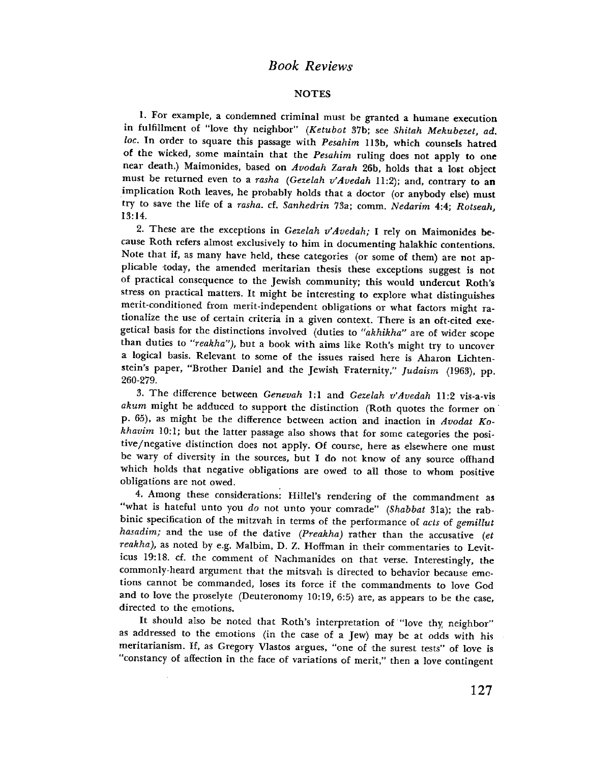#### Book Reviews

#### **NOTES**

1. For example, a condemned criminal must be granted a humane execution in fulfillment of "love thy neighbor" (Ketubot 37b; see Shitah Mekubezet, ad. loc. In order to square this passage with Pesahim 113b, which counsels hatred of the wicked, some maintain that the Pesahim ruling does not apply to one near death.) Maimonides, based on Avodah Zarah 26b, holds that a lost object must be returned even to a rasha (Gezelah v'Avedah 11:2); and, contrary to an implication Roth leaves, he probably holds that a doctor (or anybody else) must try to save the life of a rasha. cf. Sanhedrin 73a; comm. Nedarim 4:4; Rotseah, 13:14.

2. These are the exceptions in Gezelah  $v'Avedah$ ; I rely on Maimonides because Roth refers almost exclusively to him in documenting halakhic contentions. Note that if, as many have held, these categories (or some of them) are not. applicable today, the amended meritarian thesis these exceptions suggest is not of practical consequence to the Jewish community; this would undercut Roth's stress on practical matters. It might be interesting to explore what distinguishes merit-conditioned from merit-independent obligations or what factors might rationalize the use of certain criteria in a given context. There is an oft.cited exegetical basis for the distinctions involved (duties to "akhikha" are of wider scope than duties to "reakha"), but a book with aims like Roth's might try to uncover a logical basis. Relevant to some of the issues raised here is Aharon Lichtenstein's paper, "Brother Daniel and the Jewish Fraternity," Judaism (1963), pp. 260-279.

3. The difference between Genevah 1:1 and Gezelah v'Avedah 1l:2 vis-a-vis akum might be adduced to support the distinction (Roth quotes the former on p. 65), as might be the difference between action and inaction in Avodat Ko- $\emph{known 10:1; but the latter passage also shows that for some categories the posi$ tive/negative distinction does not apply. Of course, here as elsewhere one must be wary of diversity in the sources, but I do not know of any source offhand which holds that negative obligations are owed to all those to whom positive obligations are not owed. .

4. Among these considerations: Hilel's rendering of the commandment as "what is hateful unto you do not unto your comrade" (Shabbat 31a); the rabbinic specification of the mitzvah in terms of the performance of acts of gemillut hasadim; and the use of the dative (Preakha) rather than the accusative (et reakha), as noted by e.g. Malbim, D. Z. Hoffman in their commentaries to Leviticus 19:18. cf. the comment of Nachmanides on that verse. Interestingly, the commonly-heard argument that the mitsvah is directed to behavior because emotions cannot be commanded, loses its force if the commandments to love God and to love the proselyte (Deuteronomy 10:19,6:5) are, as appears to be the case, directed to the emotions.

It should also be noted that Roth's interpretation of "love thy, neighbor" as addressed to the emotions (in the case of a Jew) may be at odds with his meritarianism. If, as Gregory Vlastos argues, "one of the surest tests" of love is "constancy of affection in the face of variations of merit," then a love contingent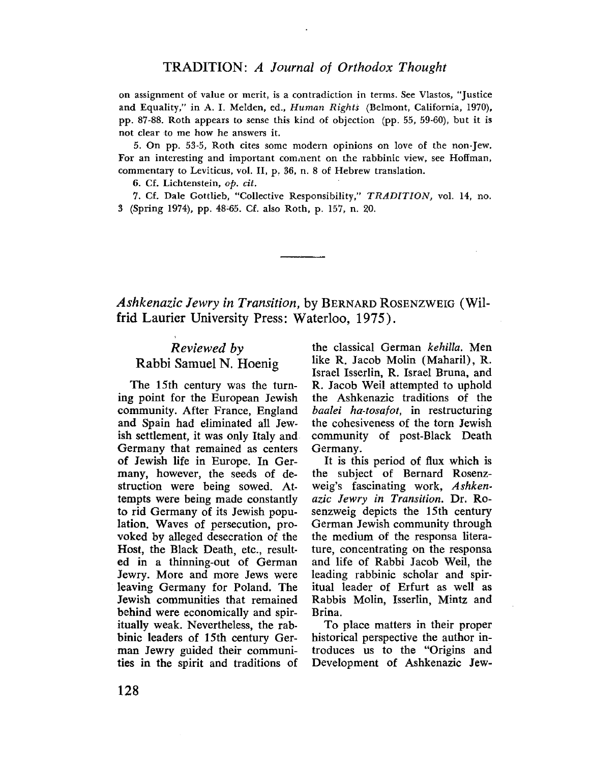on assignment of value or merit, is a contradiction in terms. See Vlastos, "Justice and Equality," in A. I. Melden, ed., Human Rights (Belmont, California, 1970), pp. 87-88. Roth appears to sense this kind of objection (pp. 55, 59-60), but it is not clear to me how he answers it.

5. On pp. 53-5, Roth cites some modern opinions on love of the non-Jew. For an interesting and important comment on the rabbinic view, see Hoffman, commentary to Leviticus, voL. II, p, 36, n. 8 of Hebrew translation.

6. Cf. Lichtenstein, op. cit.

7. Cf. Dale Gottlieb, "Collective Responsibilty," TRADITION, voL. 14, no. 3 (Spring 1974), pp. 48'65. Cf. also Roth, p. 157, n. 20.

Ashkenazic Jewry in Transition, by BERNARD ROSENZWEIG (Wilfrid Laurier University Press: Waterloo, 1975).

# Reviewed by Rabbi Samuel N. Hoenig

The 15th century was the turning point for the European Jewish community. After France, England and Spain had eliminated all Jewish settlement, it was only Italy and Germany that remained as centers of Jewish life in Europe. In Germany, however, the seeds of destruction were being sowed. Attempts were being made constantly to rid Germany of its Jewish population. Waves of persecution, provoked by alleged desecration of the Host, the Black Death, etc., resulted in a thinning-out of German Jewry. More and more Jews were leaving Germany for Poland. The Jewish communities that remained behind were economically and spiritually weak. Nevertheless, the rabbinic leaders of 15th century German Jewry guided their communities in the spirit and traditions of

the classical German kehila. Men like R. Jacob Molin (Maharil), R. Israel Isserlin, R. Israel Bruna, and R. Jacob Weil attempted to uphold the Ashkenazic traditions of the baalei ha-tosafot, in restructuring the cohesiveness of the torn Jewish community of post-Black Death Germany.

It is this period of flux which is the subject of Bernard Rosenzweig's fascinating work, Ashkenazic Jewry in Transition. Dr. Rosenzweig depicts the 15th century German Jewish community through the medium of the responsa literature, concentrating on the responsa and life of Rabbi Jacob Weil, the leading rabbinic scholar and spiritual leader of Erfurt as well as Rabbis Molin, Isserlin, Mintz and Brina.

To place matters in their proper historical perspective the author introduces us to the "Origins and Development of Ashkenazic Jew-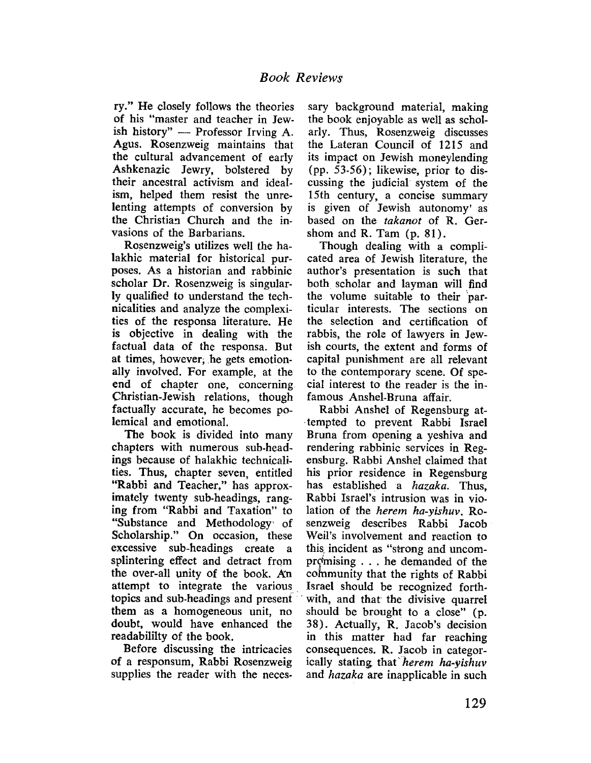ry." He closely follows the theories sary background material, making of his "master and teacher in Jew- the book enjoyable as well as scholish history"  $-$  Professor Irving A. arly. Thus, Rosenzweig discusses Agus. Rosenzweig maintains that the Lateran Council of 1215 and the cultural advancement of early its impact on Jewish moneylending Ashkenazic Jewry, bolstered by (pp. 53-56); likewise, prior to distheir ancestral activism and ideal- cussing the judicial system of the ism, helped them resist the unre- 15th century, a concise summary lenting attempts of conversion by is given of Jewish autonomy' as the Christian Church and the in-<br>based on the takanot of R. Gervasions of the Barbarians. show and R. Tam (p. 81).

lakhic material for historical pur- cated area of Jewish literature, the poses. As a historian and rabbinic author's presentation is such that scholar Dr. Rosenzweig is singular- both scholar and layman will find ly qualified to understand the tech- the volume suitable to their "parnicalities and analyze the complexi- ticular interests. The sections on ties of the responsa literature. He the selection and certification of is objective in dealing with the rabbis, the role of lawyers in Jewfactual data of the responsa. But ish courts, the extent and forms of at times, however; he gets emotion- capital punishment are all relevant ally involved. For example, at the to the contemporary scene. Of speend of chapter one, concerning cial interest to the reader is the in-Christian-Jewish relations, though famous Anshel-Bruna affair. factually accurate, he becomes po-<br>Rabbi Anshel of Regensburg atlemical and emotional.  $t$  tempted to prevent Rabbi Israel

chapters with numerous sub-head- rendering rabbinic services in Regings because of halakhic technicali- ensburg. Rabbi Anshel claimed that ties. Thus, chapter seven, entitled his prior residence in Regensburg "Rabbi and Teacher," has approx- has established a *hazaka*. Thus, imately twenty sub-headings, rang-<br>Rabbi Israel's intrusion was in vioing from "Rabbi and Taxation" to lation of the herem ha-yishuv. Ro- "Substance and Methodology' of senzweig describes Rabbi Jacob Scholarship." On occasion, these Weil's involvement and reaction to excessive sub-headings create a this incident as "strong and uncomsplintering effect and detract from  $\pi$  promising... he demanded of the the over-all unity of the book. Xn colnmunity that the rights of Rabbi attempt to integrate the various, Israel should be recognized forth. topics and sub-headings and present. with, and that the divisive quarrel them as a homogeneous unit, no should be brought to a close" (p. doubt. would have enhanced the 38). Actually, R. Jacob's decision

of a responsum, Rabbi Rosenzweig ically stating that herem ha-yishuv supplies the reader with the neces- and *hazaka* are inapplicable in such

Rosenzweig's utilizes well the ha- Though dealing with a compli-

The book is divided into many Bruna from opening a yeshiva and readability of the book. in this matter had far reaching Before discussing the intricacies consequences. R. Jacob in categor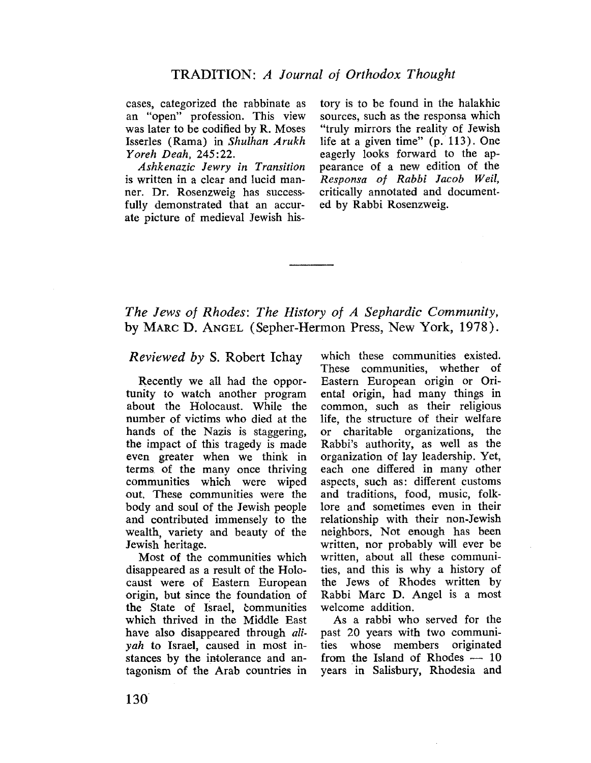cases, categorized the rabbinate as an "open" profession. This view was later to be codified by R. Moses Isserles (Rama) in Shulhan Arukh Yoreh Deah, 245:22.

Ashkenazic Jewry in Transiton is written in a clear and lucid manner. Dr. Rosenzweig has successfully demonstrated that an accurate picture of medieval Jewish history is to be found in the halakhic sources, such as the responsa which "truly mirrors the reality of Jewish life at a given time" (p.1l3). One eagerly looks forward to the appearance of a new edition of the Responsa of Rabbi Jacob Weil, critically annotated and documented by Rabbi Rosenzweig.

# The Jews of Rhodes: The History of A Sephardic Community, by MARC D. ANGEL (Sepher-Hermon Press, New York, 1978).

## Reviewed by S. Robert Ichay

Recently we all had the opportunity to watch another program about the Holocaust. While the number of victims who died at the hands of the Nazis is staggering, the impact of this tragedy is made even greater when we think in terms of the many once thriving communities which were wiped out. These communities were the body and soul of the Jewish people and contributed immensely to the wealth, variety and beauty of the Jewish heritage.

Most of the communities which disappeared as a result of the Holocaust were of Eastern European origin, but since the foundation of the State of Israel, communities which thrived in the Middle East have also disappeared through aliyah to Israel, caused in most instances by the intolerance and antagonism of the Arab countries in

which these communities existed. These communities, whether of Eastern European origin or Oriental origin, had many things in common, such as their religious life, the structure of their welfare or charitable organizations, the Rabbi's authority, as well as the organization of lay leadership. Yet, each one differed in many other aspects, such as: different customs and traditions, food, music, folklore and sometimes even in their relationship with their non-Jewish neighbors. Not enough has been written, nor probably will ever be written, about all these communities, and this is why a history of the Jews of Rhodes written by Rabbi Marc D. Angel is a most welcome addition.

As a rabbi who served for the past 20 years with two communities whose members originated from the Island of Rhodes  $- 10$ years in Salisbury, Rhodesia and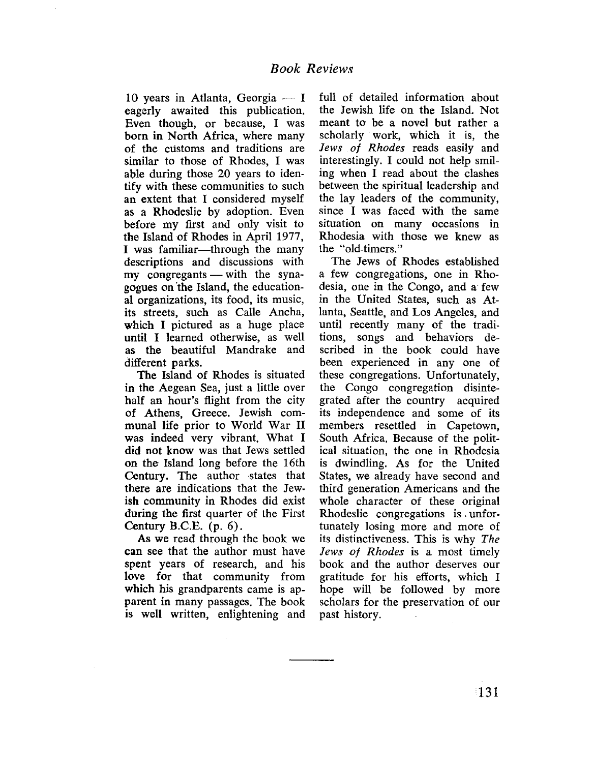10 years in Atlanta, Georgia  $-1$ eagerly awaited this publication. Even though, or because, I was born in North Africa, where many of the cùstoms and traditions are similar to those of Rhodes, I was able during those 20 years to identify with these communities to such an extent that I considered myself as a RhodesIie by adoption. Even before my first and only visit to the Island of Rhodes in April 1977, I was familiar—through the many descriptions and discussions with  $my$  congregants — with the synagogues on'the Island, the educational organizations, its food, its music, its streets, such as Calle Ancha, which I pictured as a huge place until I learned otherwise, as well as the beautiful Mandrake and different parks.

The Island of Rhodes is situated in the Aegean Sea, just a little over half an hour's flight from the city of Athens, Greece. Jewish communal life prior to World War II was indeed very vibrant. What I did not know was that Jews setted on the Island long before the 16th Century. The author states that there are indications that the Jewish community in Rhodes did exist during the first quarter of the First Century B.C.E. (p. 6).

As we read through the book we can see that the author must have spent years of research, and his love for that community from which his grandparents came is apparent in many passages. The book is well written, enlightening and

full of detailed information about the Jewish life on the Island. Not meant to be a novel but rather a scholarly work, which it is, the Jews of Rhodes reads easily and interestingly. I could not help smiling when I read about the clashes between the spiritual leadership and the lay leaders of the community, since I was faced with the same situation on many occasions in Rhodesia with those we knew as the "old-timers."

The Jews of Rhodes established a few congregations, one in Rhodesia, one in the Congo, and a' few in the United States, such as Atlanta, Seattle, and Los Angeles, and until recently many of the traditions, songs and behaviors described in the book could have been experienced in any one of these congregations. Unfortunately, the Congo congregation disintegrated after the country acquired its independence and some of its members resettled in Capetown, South Africa. Because of the political situation, the one in Rhodesia is dwindling. As for the United States, we already have second and third generation Americans and the whole character of these original Rhodeslie congregations is, unfortunately losing more and more of its distinctiveness. This is why The Jews of Rhodes is a most timely book and the author deserves our gratitude for his efforts, which I hope will be followed by more scholars for the preservation of our past history.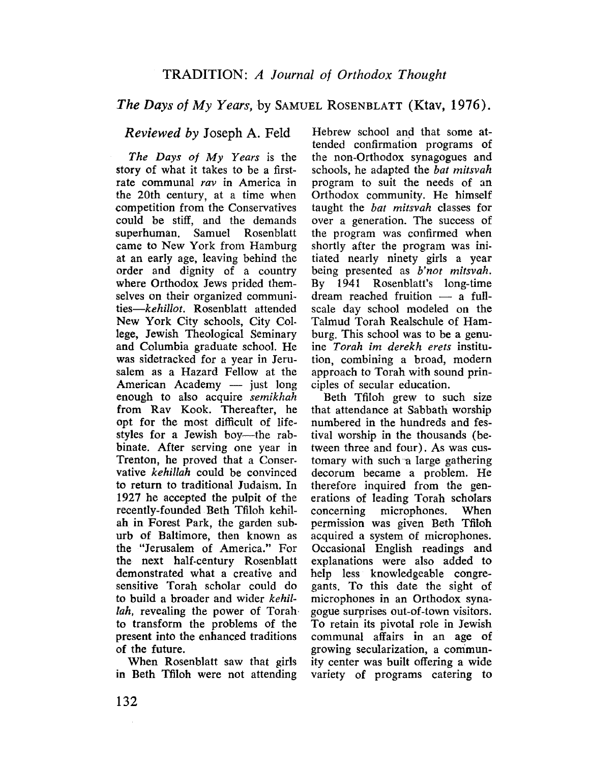## The Days of My Years, by SAMUEL ROSENBLATT (Ktav, 1976).

#### Reviewed by Joseph A. Feld

The Days of My Years is the story of what it takes to be a firstrate communal rav in America in the 20th century, at a time when competition from the Conservatives could be stiff, and the demands superhuman. Samuel Rosenblatt came to New York from Hamburg at an early age, leaving behind the order and dignity of a country where Orthodox Jews prided themselves on their organized communities-kehillot. Rosenblatt attended New York City schools, City College, Jewish Theological Seminary and Columbia graduate school. He was sidetracked for a year in Jerusalem as a Hazard Fellow at the American Academy  $-$  just long enough to also acquire semikhah from Rav Kook. Thereafter, he opt for the most difficult of lifestyles for a Jewish boy—the rabbinate. After serving one year in Trenton, he proved that a Conservative kehilah could be convinced to return to traditional Judaism. In 1927 he accepted the pulpit of the recently-founded Beth Tfiloh kehilah in Forest Park, the garden suburb of Baltimore, then known as the "Jerusalem of America." For the next half-century Rosenblatt demonstrated what a creative and sensitive Torah scholar could do to build a broader and wider kehillah, revealing the power of Torah. to transform the problems of the present into the enhanced traditions of the future.

When Rosenblatt saw that girls in Beth Tfiloh were not attending Hebrew school and that some attended confirmation programs of the non-Orthodox synagogues and schools, he adapted the bat mitsvah program to suit the needs of an Orthodox community. He himself taught the bat mitsvah classes for over a generation. The success of the program was confirmed when shortly after the program was initiated nearly ninety girls a year being presented as b'not mitsvah. By 1941 Rosenblatt's long-time dream reached fruition  $-$  a fullscale day school modeled on the Talmud Torah Realschule of Hamburg. This school was to be a genuine Torah im derekh erets institution, combining a broad, modern approach to Torah with sound principles of secular education.

Beth Tfiloh grew to such size that attendance at Sabbath worship numbered in the hundreds and festival worship in the thousands (between three and four). As was customary with such a large gathering decorum became a problem. He therefore inquired from the generations of leading Torah scholars concerning microphones. When permission was given Beth Tfiloh acquired a system of microphones. Occasional English readings and explanations were also added to help less knowledgeable congregants. To this date the sight of microphones in an Orthodox synagogue surprises out-of-town visitors. To retain its pivotal role in Jewish communal affairs in an age of growing secularization, a community center was built offering a wide variety of programs catering to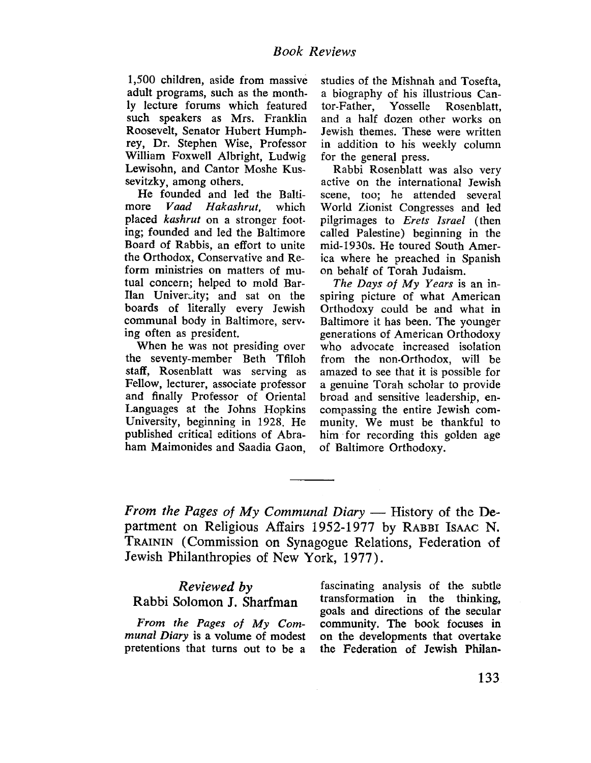1,500 children, aside from massive adult programs, such as the month. ly lecture forums which featured such speakers as Mrs. Franklin Roosevelt, Senator Hubert Humphrey, Dr. Stephen Wise, Professor Wiliam Foxwell Albright, Ludwig Lewisohn, and Cantor Moshe Kussevitzky, among others.

He founded and led the Baltimore Vaad Hakashrut, which placed kashrut on a stronger footing; founded and led the Baltmore Board of Rabbis, an effort to unite the Orthodox, Conservative and Reform ministries on matters of mutual concern; helped to mold Bar-Ilan Univercity; and sat on the boards of literally every Jewish communal body in Baltimore, serv. ing often as president.

When he was not presiding over the seventy-member Beth Tfiloh staff, Rosenblatt was serving as Fellow, lecturer, associate professor and finally Professor of Oriental Languages at the Johns Hopkins University, beginning in 1928. He published critical editions of Abraham Maimonides and Saadia Gaon, studies of the Mishnah and Tosefta, a biography of his illustrious Can-<br>tor-Father. Yosselle Rosenblatt. tor-Father, Yosselle Rosenblatt, and a half dozen other works on Jewish themes. These were written in addition to his weekly column for the general press.

Rabbi Rosenblatt was also very active on the international Jewish scene, too; he attended several World Zionist Congresses and led pilgrimages to *Erets Israel* (then called Palestine) beginning in the mid-1930s. He toured South America where he preached in Spanish on behalf of Torah Judaism.

The Days of My Years is an inspiring picture of what American Orthodoxy could be and what in Baltimore it has been. The younger generations of American Orthodoxy who advocate increased isolation from the non-Orthodox, will be amazed to see that it is possible for a genuine Torah scholar to provide broad and sensitive leadership, encompassing the entire Jewish community. We must be thankful to him' for recording this golden age of Baltimore Orthodoxy.

From the Pages of My Communal Diary  $-$  History of the Department on Religious Affairs 1952-1977 by RABBI ISAAC N. TRAININ (Commission on Synagogue Relations, Federation of Jewish Philanthropies of New York, 1977).

## Reviewed by

## Rabbi Solomon J. Sharfman

From the Pages of My Communal Diary is a volume of modest pretentions that turns out to be a fascinating analysis of the subtle transformation in the thinking, goals and directions of the secular community. The book focuses in on the developments that overtake the Federation of Jewish Philan-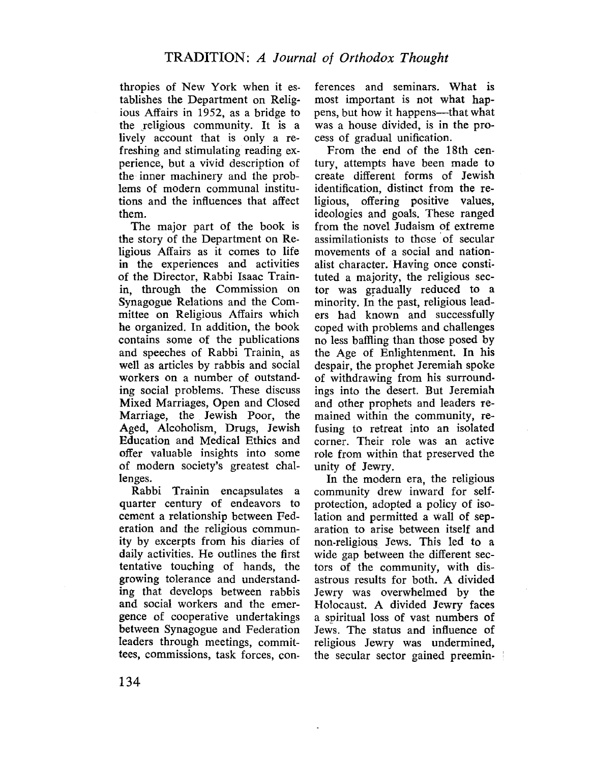thropies of New York when it establishes the Department on Religious Affairs in 1952, as a bridge to the religious community. It is a lively account that is only a refreshing and stimulating reading experience, but a vivid description of the inner machinery and the problems of modern communal institutions and the influences that affect them.

The major part of the book is the story of the Department on Religious Affairs as it comes to life in the experiences and activities of the Director, Rabbi Isaac Trainin, through the Commission on Synagogue Relations and the Committee on Religious Affairs which he organized. In addition, the book contains some of the publications and speeches of Rabbi Trainin, as well as articles by rabbis and social workers on a number of outstanding social problems. These discuss Mixed Marriages, Open and Closed Marriage, the Jewish Poor, the Aged, Alcoholism, Drugs, Jewish Education and Medical Ethics and offer valuable insights into some of modern society's greatest challenges.

Rabbi Trainin encapsulates a quarter century of endeavors to cement a relationship between Federation and the religious community by excerpts from his diaries of daily activities. He outlines the first tentative touching of hands, the growing tolerance and understanding that develops between rabbis and social workers and the emergence of cooperative undertakings between Synagogue and Federation leaders through meetings, committees, commissions, task forces, con-

ferences and seminars. What is most important is not what happens, but how it happens--- that what was a house divided, is in the process of gradual unification.

From the end of the 18th century, attempts have been made to create different forms of Jewish identification, distinct from the religious, offering positive values, ideologies and goals. These ranged from the novel Judaism of extreme assimilationists to those' of secular movements of a social and nationalist character. Having once constituted a majority, the religious sector was gradually reduced to a minority. In the past, religious leaders had known and successfully coped with problems and challenges no less baffing than those posed by the Age of Enlightenment. In his despair, the prophet Jeremiah spoke of withdrawing from his surround. ings into the desert. But Jeremiah and other prophets and leaders remained within the community, refusing to retreat into an isolated corner. Their role was an active role from within that preserved the unity of Jewry.

In the modern era, the religious community drew inward for selfprotection, adopted a policy of isolation and permitted a wall of separation to arise between itself and non-religious Jews. This led to a wide gap between the different sectors of the community, with disastrous results for both. A divided Jewry was overwhelmed by the Holocaust. A divided Jewry faces a spiritual loss of vast numbers of Jews. The status and influence of religious Jewry was undermined, the secular sector gained preemin-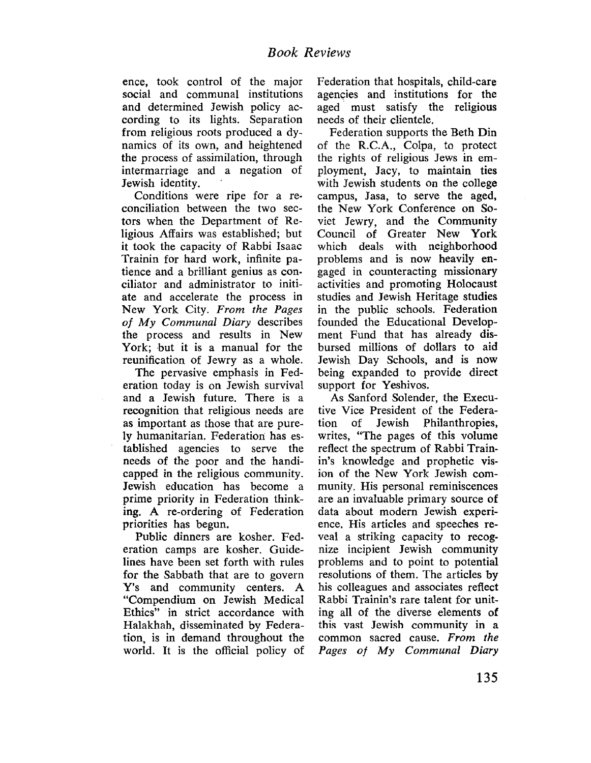ence, took control of the major social and communal institutions and determined Jewish policy according to its lights. Separation from religious roots produced a dynamics of its own, and heightened the process of assimilation, through intermarriage and a negation of Jewish identity.

Conditions were ripe for a reconciliation between the two sectors when the Department of Religious Affairs was established; but it took the capacity of Rabbi Isaac Trainin for hard work, infinite patience and a briliant genius as conciliator and administrator to initiate and accelerate the process in New York City. From the Pages of My Communal Diary describes the process and results in New York; but it is a manual for the reunification of Jewry as a whole.

The pervasive emphasis in Federation today is on Jewish survival and a Jewish future. There is a recognition that religious needs are as important as those that are purely humanitarian. Federation: has established agencies to serve the needs of the poor and the handicapped in the religious community. Jewish education has become a prime priority in Federation thinking. A re-ordering of Federation priorities has begun.

Public dinners are kosher. Fed. eration camps are kosher. Guidelines have been set forth with rules for the Sabbath that are to govern Y's and community centers. A "Compendium on Jewish Medical Ethics" in strict accordance with Halakhah, disseminated by Federation, is in demand throughout the world. It is the official policy of

Federation that hospitals, child-care agencies and institutions for the aged' must satisfy the religious needs of their clientele.

Federation supports the Beth Din of the R.C.A., Colpa, to protect the rights of religious Jews in employment, Jacy, to maintain ties with Jewish students on the college campus, Jasa, to serve the aged, the New York Conference on Soviet Jewry, and the Community Council of Greater New York which deals with neighborhood problems and is now heavily engaged in counteracting missionary activities and promoting Holocaust studies and Jewish Heritage studies in the public schools. Federation founded the Educational Development Fund that has already disbursed milions of dollars to aid Jewish Day Schools, and is now being expanded to provide direct support for Yeshivos.

As Sanford Solender, the Executive Vice President of the Federation of Jewish Philanthropies, writes, "The pages of this volume reflect the spectrum of Rabbi Trainin's knowledge and prophetic vision of the New York Jewish community. His personal reminiscences are an invaluable primary source of data about modern Jewish experience. His articles and speeches reveal a striking capacity to recognize incipient Jewish community problems and to point to potential resolutions of them. The articles by his colleagues and associates reflect Rabbi Trainin's rare talent for uniting all of the diverse elements of this vast Jewish community in a common sacred cause. From the Pages of My Communal Diary